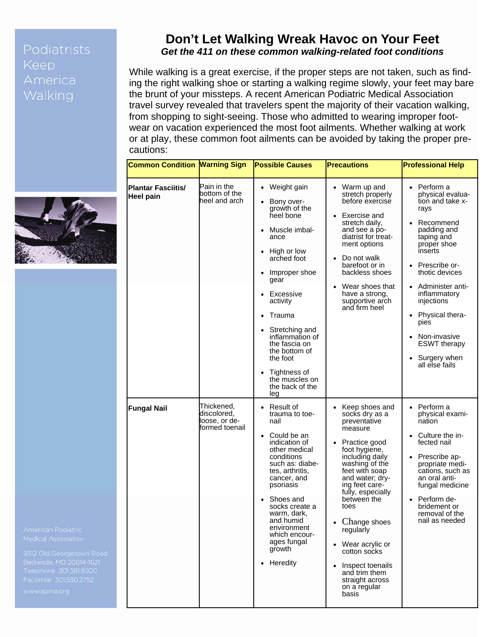## Podiatrists **Keep** America



## **Don't Let Walking Wreak Havoc on Your Feet**  *Get the 411 on these common walking-related foot conditions*

While walking is a great exercise, if the proper steps are not taken, such as finding the right walking shoe or starting a walking regime slowly, your feet may bare the brunt of your missteps. A recent American Podiatric Medical Association travel survey revealed that travelers spent the majority of their vacation walking, from shopping to sight-seeing. Those who admitted to wearing improper footwear on vacation experienced the most foot ailments. Whether walking at work or at play, these common foot ailments can be avoided by taking the proper precautions:

| <b>Common Condition Marning Sign</b>   |                                                             | <b>Possible Causes</b>                                                                                                                                                                                                                                                                                                                                                            | <b>Precautions</b>                                                                                                                                                                                                                                                                                                                                                                     | <b>Professional Help</b>                                                                                                                                                                                                                                                                                                            |
|----------------------------------------|-------------------------------------------------------------|-----------------------------------------------------------------------------------------------------------------------------------------------------------------------------------------------------------------------------------------------------------------------------------------------------------------------------------------------------------------------------------|----------------------------------------------------------------------------------------------------------------------------------------------------------------------------------------------------------------------------------------------------------------------------------------------------------------------------------------------------------------------------------------|-------------------------------------------------------------------------------------------------------------------------------------------------------------------------------------------------------------------------------------------------------------------------------------------------------------------------------------|
| <b>Plantar Fasciitis/</b><br>Heel pain | Pain in the<br>bottom of the<br>heel and arch               | Weight gain<br>$\bullet$<br>Bony over-<br>growth of the<br>heel bone<br>Muscle imbal-<br>$\bullet$<br>ance<br>• High or low<br>arched foot<br>Improper shoe<br>$\bullet$<br>gear<br>• Excessive<br>activity<br>Trauma<br>Stretching and<br>inflammation of<br>the fascia on<br>the bottom of<br>the foot<br>Tightness of<br>$\bullet$<br>the muscles on<br>the back of the<br>leg | Warm up and<br>stretch properly<br>before exercise<br>Exercise and<br>$\bullet$<br>stretch daily,<br>and see a po-<br>diatrist for treat-<br>ment options<br>Do not walk<br>barefoot or in<br>backless shoes<br>Wear shoes that<br>have a strong,<br>supportive arch<br>and firm heel                                                                                                  | Perform a<br>$\bullet$<br>physical evalua-<br>tion and take x-<br>rays<br>Recommend<br>padding and<br>taping and<br>proper shoe<br>inserts<br>Prescribe or-<br>thotic devices<br>Administer anti-<br>inflammatory<br>injections<br>Physical thera-<br>pies<br>Non-invasive<br><b>ESWT</b> therapy<br>Surgery when<br>all else fails |
| <b>Fungal Nail</b>                     | Thickened,<br>discolored.<br>oose, or de-<br>formed toenail | Result of<br>trauma to toe-<br>nail<br>Could be an<br>$\bullet$<br>indication of<br>other medical<br>conditions<br>such as: diabe-<br>tes, arthritis,<br>cancer, and<br>psoriasis<br>Shoes and<br>socks create a<br>warm, dark,<br>and humid<br>environment<br>which encour-<br>ages fungal<br>growth<br>Heredity<br>$\bullet$                                                    | Keep shoes and<br>socks dry as a<br>preventative<br>measure<br>Practice good<br>foot hygiene,<br>including daily<br>washing of the<br>feet with soap<br>and water; dry-<br>ing feet care-<br>fully, especially<br>between the<br>toes<br>Change shoes<br>regularly<br>Wear acrylic or<br>cotton socks<br>Inspect toenails<br>and trim them<br>straight across<br>on a regular<br>basis | Perform a<br>physical exami-<br>nation<br>Culture the in-<br>fected nail<br>Prescribe ap-<br>propriate medi-<br>cations, such as<br>an oral anti-<br>fungal medicine<br>Perform de-<br>bridement or<br>removal of the<br>nail as needed                                                                                             |